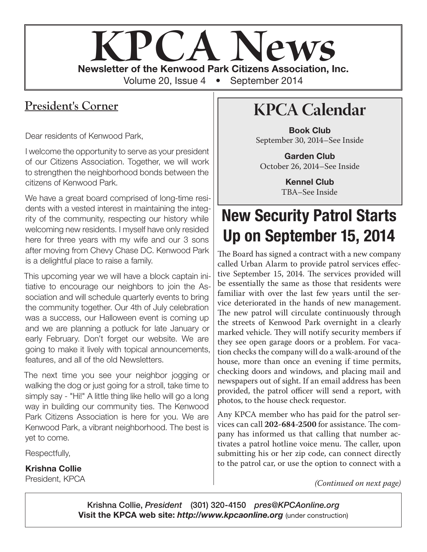

### **President's Corner**

Dear residents of Kenwood Park,

I welcome the opportunity to serve as your president of our Citizens Association. Together, we will work to strengthen the neighborhood bonds between the citizens of Kenwood Park.

We have a great board comprised of long-time residents with a vested interest in maintaining the integrity of the community, respecting our history while welcoming new residents. I myself have only resided here for three years with my wife and our 3 sons after moving from Chevy Chase DC. Kenwood Park is a delightful place to raise a family.

This upcoming year we will have a block captain initiative to encourage our neighbors to join the Association and will schedule quarterly events to bring the community together. Our 4th of July celebration was a success, our Halloween event is coming up and we are planning a potluck for late January or early February. Don't forget our website. We are going to make it lively with topical announcements, features, and all of the old Newsletters.

The next time you see your neighbor jogging or walking the dog or just going for a stroll, take time to simply say - "Hi!" A little thing like hello will go a long way in building our community ties. The Kenwood Park Citizens Association is here for you. We are Kenwood Park, a vibrant neighborhood. The best is yet to come.

Respectfully,

Krishna Collie

President, KPCA

# **KPCA Calendar**

Book Club September 30, 2014–See Inside

Garden Club October 26, 2014–See Inside

> Kennel Club TBA–See Inside

# New Security Patrol Starts Up on September 15, 2014

The Board has signed a contract with a new company called Urban Alarm to provide patrol services effective September 15, 2014. The services provided will be essentially the same as those that residents were familiar with over the last few years until the service deteriorated in the hands of new management. The new patrol will circulate continuously through the streets of Kenwood Park overnight in a clearly marked vehicle. They will notify security members if they see open garage doors or a problem. For vacation checks the company will do a walk-around of the house, more than once an evening if time permits, checking doors and windows, and placing mail and newspapers out of sight. If an email address has been provided, the patrol officer will send a report, with photos, to the house check requestor.

Any KPCA member who has paid for the patrol services can call **202-684-2500** for assistance. The company has informed us that calling that number activates a patrol hotline voice menu. The caller, upon submitting his or her zip code, can connect directly to the patrol car, or use the option to connect with a

*(Continued on next page)*

Krishna Collie, *President* (301) 320-4150 *pres@KPCAonline.org* Visit the KPCA web site: *http://www.kpcaonline.org* (under construction)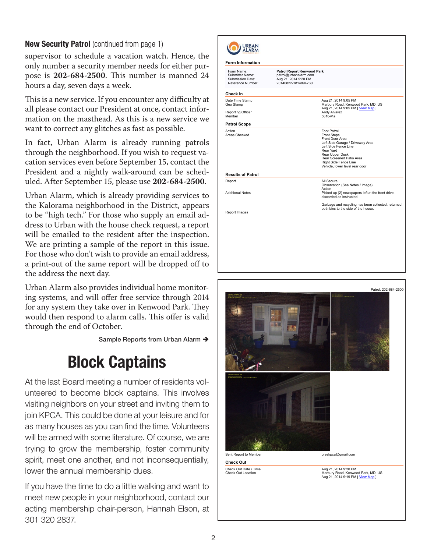#### New Security Patrol (continued from page 1)

supervisor to schedule a vacation watch. Hence, the only number a security member needs for either purpose is **202-684-2500**. This number is manned 24 hours a day, seven days a week.

This is a new service. If you encounter any difficulty at all please contact our President at once, contact information on the masthead. As this is a new service we want to correct any glitches as fast as possible.

In fact, Urban Alarm is already running patrols through the neighborhood. If you wish to request vacation services even before September 15, contact the President and a nightly walk-around can be scheduled. After September 15, please use **202-684-2500**.

Urban Alarm, which is already providing services to the Kalorama neighborhood in the District, appears to be "high tech." For those who supply an email address to Urban with the house check request, a report will be emailed to the resident after the inspection. We are printing a sample of the report in this issue. For those who don't wish to provide an email address, a print-out of the same report will be dropped off to the address the next day.

Urban Alarm also provides individual home monitoring systems, and will offer free service through 2014 for any system they take over in Kenwood Park. They would then respond to alarm calls. This offer is valid through the end of October.

Sample Reports from Urban Alarm →

## Block Captains

At the last Board meeting a number of residents volunteered to become block captains. This involves visiting neighbors on your street and inviting them to join KPCA. This could be done at your leisure and for as many houses as you can find the time. Volunteers will be armed with some literature. Of course, we are trying to grow the membership, foster community spirit, meet one another, and not inconsequentially, lower the annual membership dues.

If you have the time to do a little walking and want to meet new people in your neighborhood, contact our acting membership chair-person, Hannah Elson, at 301 320 2837.

| Form Name:<br>Submitter Name:<br>Submission Date:<br>Reference Number: | <b>Patrol Report Kenwood Park</b><br>patrol@urbanalarm.com<br>Aug 21, 2014 9:20 PM<br>20140822-1814894730 |                                                                                                                                                                                                                                         |
|------------------------------------------------------------------------|-----------------------------------------------------------------------------------------------------------|-----------------------------------------------------------------------------------------------------------------------------------------------------------------------------------------------------------------------------------------|
| Check In                                                               |                                                                                                           |                                                                                                                                                                                                                                         |
| Date Time Stamp<br>Geo Stamp<br>Reporting Officer<br>Member            |                                                                                                           | Aug 21, 2014 9:05 PM<br>Marbury Road, Kenwood Park, MD, US<br>Aug 21, 2014 9:05 PM [ View Map ]<br>Andy Alvarez<br>5816-Ma                                                                                                              |
| <b>Patrol Scope</b>                                                    |                                                                                                           |                                                                                                                                                                                                                                         |
| Action<br>Areas Checked                                                |                                                                                                           | Foot Patrol<br><b>Front Steps</b><br>Front Door Area<br>Left Side Garage / Driveway Area<br>Left Side Fence Line<br>Rear Yard<br>Rear Upper Deck<br>Rear Screened Patio Area<br>Right Side Fence Line<br>Vehicle, lower level rear door |
| <b>Results of Patrol</b>                                               |                                                                                                           |                                                                                                                                                                                                                                         |
| Report<br><b>Additional Notes</b>                                      |                                                                                                           | All Secure<br>Observation (See Notes / Image)<br>Action<br>Picked up (2) newspapers left at the front drive,<br>discarded as instructed.                                                                                                |
| Report Images                                                          |                                                                                                           | Garbage and recycling has been collected, returned<br>both bins to the side of the house.                                                                                                                                               |
|                                                                        |                                                                                                           |                                                                                                                                                                                                                                         |
|                                                                        |                                                                                                           |                                                                                                                                                                                                                                         |

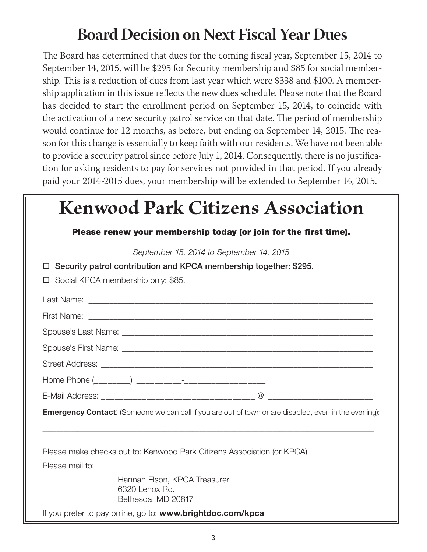# **Board Decision on Next Fiscal Year Dues**

The Board has determined that dues for the coming fiscal year, September 15, 2014 to September 14, 2015, will be \$295 for Security membership and \$85 for social membership. This is a reduction of dues from last year which were \$338 and \$100. A membership application in this issue reflects the new dues schedule. Please note that the Board has decided to start the enrollment period on September 15, 2014, to coincide with the activation of a new security patrol service on that date. The period of membership would continue for 12 months, as before, but ending on September 14, 2015. The reason for this change is essentially to keep faith with our residents. We have not been able to provide a security patrol since before July 1, 2014. Consequently, there is no justification for asking residents to pay for services not provided in that period. If you already paid your 2014-2015 dues, your membership will be extended to September 14, 2015.

| <b>Kenwood Park Citizens Association</b> |                                                                                                                                                                                        |  |
|------------------------------------------|----------------------------------------------------------------------------------------------------------------------------------------------------------------------------------------|--|
|                                          | Please renew your membership today (or join for the first time).                                                                                                                       |  |
|                                          | September 15, 2014 to September 14, 2015                                                                                                                                               |  |
|                                          | Security patrol contribution and KPCA membership together: \$295.                                                                                                                      |  |
| □                                        | Social KPCA membership only: \$85.                                                                                                                                                     |  |
|                                          |                                                                                                                                                                                        |  |
|                                          |                                                                                                                                                                                        |  |
|                                          |                                                                                                                                                                                        |  |
|                                          |                                                                                                                                                                                        |  |
|                                          |                                                                                                                                                                                        |  |
|                                          | Home Phone (________) ___________- <sup>_</sup> _____________________                                                                                                                  |  |
|                                          |                                                                                                                                                                                        |  |
|                                          | <b>Emergency Contact:</b> (Someone we can call if you are out of town or are disabled, even in the evening):<br>Please make checks out to: Kenwood Park Citizens Association (or KPCA) |  |
| Please mail to:                          |                                                                                                                                                                                        |  |
|                                          | Hannah Elson, KPCA Treasurer<br>6320 Lenox Rd.<br>Bethesda, MD 20817                                                                                                                   |  |
|                                          | If you prefer to pay online, go to: www.brightdoc.com/kpca                                                                                                                             |  |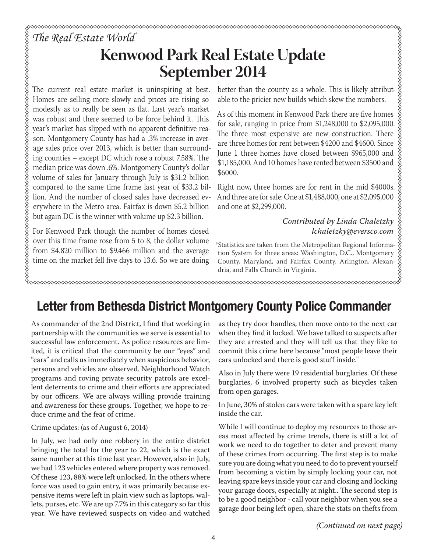### *The Real Estate World*

## **Kenwood Park Real Estate Update September 2014**

The current real estate market is uninspiring at best. Homes are selling more slowly and prices are rising so modestly as to really be seen as flat. Last year's market was robust and there seemed to be force behind it. This year's market has slipped with no apparent definitive reason. Montgomery County has had a .3% increase in average sales price over 2013, which is better than surrounding counties – except DC which rose a robust 7.58%. The median price was down .6%. Montgomery County's dollar volume of sales for January through July is \$31.2 billion compared to the same time frame last year of \$33.2 billion. And the number of closed sales have decreased everywhere in the Metro area. Fairfax is down \$5.2 billion but again DC is the winner with volume up \$2.3 billion.

For Kenwood Park though the number of homes closed over this time frame rose from 5 to 8, the dollar volume from \$4.820 million to \$9.466 million and the average time on the market fell five days to 13.6. So we are doing better than the county as a whole. This is likely attributable to the pricier new builds which skew the numbers.

As of this moment in Kenwood Park there are five homes **Example 1**<br> **Solution 11:00:00 to the pricier new builds which skew the numbers.**<br>
As of this moment in Kenwood Park there are five homes able to the pricier new builds which skew the numbers.<br>
As of this moment in Kenwo The three most expensive are new construction. There are three homes for rent between \$4200 and \$4600. Since June 1 three homes have closed between \$965,000 and \$1,185,000. And 10 homes have rented between \$3500 and \$6000.

Right now, three homes are for rent in the mid \$4000s. And three are for sale: One at \$1,488,000, one at \$2,095,000 and one at \$2,299,000.

> *Contributed by Linda Chaletzky lchaletzky@eversco.com*

\*Statistics are taken from the Metropolitan Regional Information System for three areas: Washington, D.C., Montgomery County, Maryland, and Fairfax County, Arlington, Alexandria, and Falls Church in Virginia.

xxxxxxxxxxxxxxxxxxxxxxxxxxxxxxx

## Letter from Bethesda District Montgomery County Police Commander

As commander of the 2nd District, I find that working in partnership with the communities we serve is essential to successful law enforcement. As police resources are limited, it is critical that the community be our "eyes" and "ears" and calls us immediately when suspicious behavior, persons and vehicles are observed. Neighborhood Watch programs and roving private security patrols are excellent deterrents to crime and their efforts are appreciated by our officers. We are always willing provide training and awareness for these groups. Together, we hope to reduce crime and the fear of crime.

#### Crime updates: (as of August 6, 2014)

In July, we had only one robbery in the entire district bringing the total for the year to 22, which is the exact same number at this time last year. However, also in July, we had 123 vehicles entered where property was removed. Of these 123, 88% were left unlocked. In the others where force was used to gain entry, it was primarily because expensive items were left in plain view such as laptops, wallets, purses, etc. We are up 7.7% in this category so far this year. We have reviewed suspects on video and watched as they try door handles, then move onto to the next car when they find it locked. We have talked to suspects after they are arrested and they will tell us that they like to commit this crime here because "most people leave their cars unlocked and there is good stuff inside."

Also in July there were 19 residential burglaries. Of these burglaries, 6 involved property such as bicycles taken from open garages.

In June, 30% of stolen cars were taken with a spare key left inside the car.

While I will continue to deploy my resources to those areas most affected by crime trends, there is still a lot of work we need to do together to deter and prevent many of these crimes from occurring. The first step is to make sure you are doing what you need to do to prevent yourself from becoming a victim by simply locking your car, not leaving spare keys inside your car and closing and locking your garage doors, especially at night.. The second step is to be a good neighbor - call your neighbor when you see a garage door being left open, share the stats on thefts from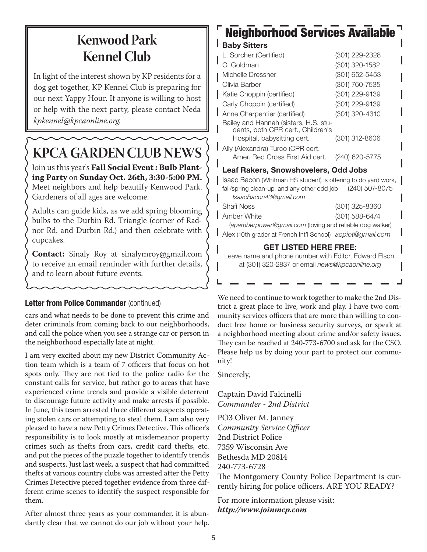## **Kenwood Park Kennel Club**

In light of the interest shown by KP residents for a dog get together, KP Kennel Club is preparing for our next Yappy Hour. If anyone is willing to host or help with the next party, please contact Neda *kpkennel@kpcaonline.org.*

# **KPCA GARDEN CLUB NEWS**

Join us this year's **Fall Social Event : Bulb Planting Party** on **Sunday Oct. 26th, 3:30-5:00 PM.**  Meet neighbors and help beautify Kenwood Park. Gardeners of all ages are welcome.

Adults can guide kids, as we add spring blooming bulbs to the Durbin Rd. Triangle (corner of Radnor Rd. and Durbin Rd.) and then celebrate with cupcakes.

**Contact:** Sinaly Roy at sinalymroy@gmail.com to receive an email reminder with further details, and to learn about future events.

#### Letter from Police Commander (continued)

cars and what needs to be done to prevent this crime and deter criminals from coming back to our neighborhoods, and call the police when you see a strange car or person in the neighborhood especially late at night.

I am very excited about my new District Community Action team which is a team of 7 officers that focus on hot spots only. They are not tied to the police radio for the constant calls for service, but rather go to areas that have experienced crime trends and provide a visible deterrent to discourage future activity and make arrests if possible. In June, this team arrested three different suspects operating stolen cars or attempting to steal them. I am also very pleased to have a new Petty Crimes Detective. This officer's responsibility is to look mostly at misdemeanor property crimes such as thefts from cars, credit card thefts, etc. and put the pieces of the puzzle together to identify trends and suspects. Just last week, a suspect that had committed thefts at various country clubs was arrested after the Petty Crimes Detective pieced together evidence from three different crime scenes to identify the suspect responsible for them.

After almost three years as your commander, it is abundantly clear that we cannot do our job without your help.

## Neighborhood Services Available

#### Baby Sitters

| L. Sorcher (Certified)                                                                                                                                                                                                                                                                                                                       | (301) 229-2328 |  |  |  |
|----------------------------------------------------------------------------------------------------------------------------------------------------------------------------------------------------------------------------------------------------------------------------------------------------------------------------------------------|----------------|--|--|--|
| C. Goldman                                                                                                                                                                                                                                                                                                                                   | (301) 320-1582 |  |  |  |
| Michelle Dressner                                                                                                                                                                                                                                                                                                                            | (301) 652-5453 |  |  |  |
| Olivia Barber                                                                                                                                                                                                                                                                                                                                | (301) 760-7535 |  |  |  |
| Katie Choppin (certified)                                                                                                                                                                                                                                                                                                                    | (301) 229-9139 |  |  |  |
| Carly Choppin (certified)                                                                                                                                                                                                                                                                                                                    | (301) 229-9139 |  |  |  |
| Anne Charpentier (certified)                                                                                                                                                                                                                                                                                                                 | (301) 320-4310 |  |  |  |
| Bailey and Hannah (sisters, H.S. stu-<br>dents, both CPR cert., Children's                                                                                                                                                                                                                                                                   |                |  |  |  |
| Hospital, babysitting cert.                                                                                                                                                                                                                                                                                                                  | (301) 312-8606 |  |  |  |
| Ally (Alexandra) Turco (CPR cert.                                                                                                                                                                                                                                                                                                            |                |  |  |  |
| Amer. Red Cross First Aid cert.                                                                                                                                                                                                                                                                                                              | (240) 620-5775 |  |  |  |
| Leaf Rakers, Snowshovelers, Odd Jobs                                                                                                                                                                                                                                                                                                         |                |  |  |  |
| $\Box$ , $\Box$ , $\Box$ , $\Box$ , $\Box$ , $\Box$ , $\Box$ , $\Box$ , $\Box$ , $\Box$ , $\Box$ , $\Box$ , $\Box$ , $\Box$ , $\Box$ , $\Box$ , $\Box$ , $\Box$ , $\Box$ , $\Box$ , $\Box$ , $\Box$ , $\Box$ , $\Box$ , $\Box$ , $\Box$ , $\Box$ , $\Box$ , $\Box$ , $\Box$ , $\Box$ , $\Box$ , $\Box$ , $\Box$ , $\Box$ , $\Box$ , $\Box$ , |                |  |  |  |

Isaac Bacon (Whitman HS student) is offering to do yard work, fall/spring clean-up, and any other odd job (240) 507-8075 *IsaacBacon43@gmail.com* Shafi Noss (301) 325-8360 **Amber White (301) 588-6474** (*apamberpower@gmail.com* (loving and reliable dog walker)

Alex (10th grader at French Int'l School) *acpiot@gmail.com*

#### GET LISTED HERE FREE:

Leave name and phone number with Editor, Edward Elson, at (301) 320-2837 or email *news@kpcaonline.org*

We need to continue to work together to make the 2nd District a great place to live, work and play. I have two community services officers that are more than willing to conduct free home or business security surveys, or speak at a neighborhood meeting about crime and/or safety issues. They can be reached at 240-773-6700 and ask for the CSO. Please help us by doing your part to protect our community!

Sincerely,

Captain David Falcinelli *Commander - 2nd District*

PO3 Oliver M. Janney *Community Service Officer* 2nd District Police 7359 Wisconsin Ave Bethesda MD 20814 240-773-6728

The Montgomery County Police Department is currently hiring for police officers. ARE YOU READY?

For more information please visit: *http://www.joinmcp.com*